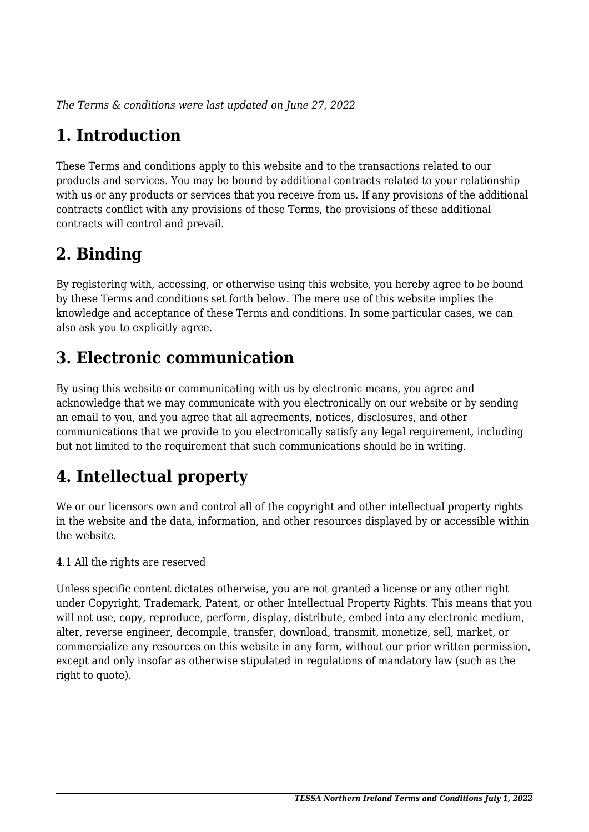*The Terms & conditions were last updated on June 27, 2022*

# **1. Introduction**

These Terms and conditions apply to this website and to the transactions related to our products and services. You may be bound by additional contracts related to your relationship with us or any products or services that you receive from us. If any provisions of the additional contracts conflict with any provisions of these Terms, the provisions of these additional contracts will control and prevail.

### **2. Binding**

By registering with, accessing, or otherwise using this website, you hereby agree to be bound by these Terms and conditions set forth below. The mere use of this website implies the knowledge and acceptance of these Terms and conditions. In some particular cases, we can also ask you to explicitly agree.

## **3. Electronic communication**

By using this website or communicating with us by electronic means, you agree and acknowledge that we may communicate with you electronically on our website or by sending an email to you, and you agree that all agreements, notices, disclosures, and other communications that we provide to you electronically satisfy any legal requirement, including but not limited to the requirement that such communications should be in writing.

# **4. Intellectual property**

We or our licensors own and control all of the copyright and other intellectual property rights in the website and the data, information, and other resources displayed by or accessible within the website.

4.1 All the rights are reserved

Unless specific content dictates otherwise, you are not granted a license or any other right under Copyright, Trademark, Patent, or other Intellectual Property Rights. This means that you will not use, copy, reproduce, perform, display, distribute, embed into any electronic medium, alter, reverse engineer, decompile, transfer, download, transmit, monetize, sell, market, or commercialize any resources on this website in any form, without our prior written permission, except and only insofar as otherwise stipulated in regulations of mandatory law (such as the right to quote).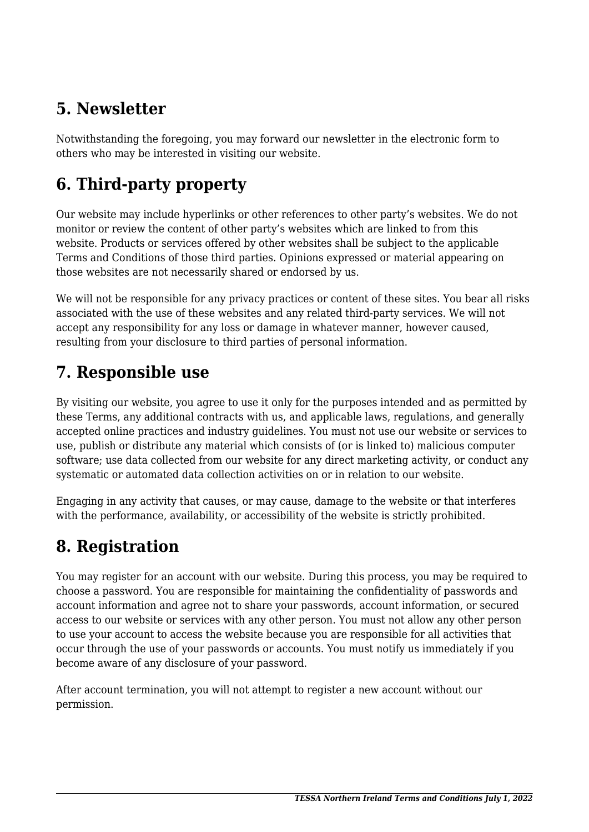### **5. Newsletter**

Notwithstanding the foregoing, you may forward our newsletter in the electronic form to others who may be interested in visiting our website.

# **6. Third-party property**

Our website may include hyperlinks or other references to other party's websites. We do not monitor or review the content of other party's websites which are linked to from this website. Products or services offered by other websites shall be subject to the applicable Terms and Conditions of those third parties. Opinions expressed or material appearing on those websites are not necessarily shared or endorsed by us.

We will not be responsible for any privacy practices or content of these sites. You bear all risks associated with the use of these websites and any related third-party services. We will not accept any responsibility for any loss or damage in whatever manner, however caused, resulting from your disclosure to third parties of personal information.

#### **7. Responsible use**

By visiting our website, you agree to use it only for the purposes intended and as permitted by these Terms, any additional contracts with us, and applicable laws, regulations, and generally accepted online practices and industry guidelines. You must not use our website or services to use, publish or distribute any material which consists of (or is linked to) malicious computer software; use data collected from our website for any direct marketing activity, or conduct any systematic or automated data collection activities on or in relation to our website.

Engaging in any activity that causes, or may cause, damage to the website or that interferes with the performance, availability, or accessibility of the website is strictly prohibited.

### **8. Registration**

You may register for an account with our website. During this process, you may be required to choose a password. You are responsible for maintaining the confidentiality of passwords and account information and agree not to share your passwords, account information, or secured access to our website or services with any other person. You must not allow any other person to use your account to access the website because you are responsible for all activities that occur through the use of your passwords or accounts. You must notify us immediately if you become aware of any disclosure of your password.

After account termination, you will not attempt to register a new account without our permission.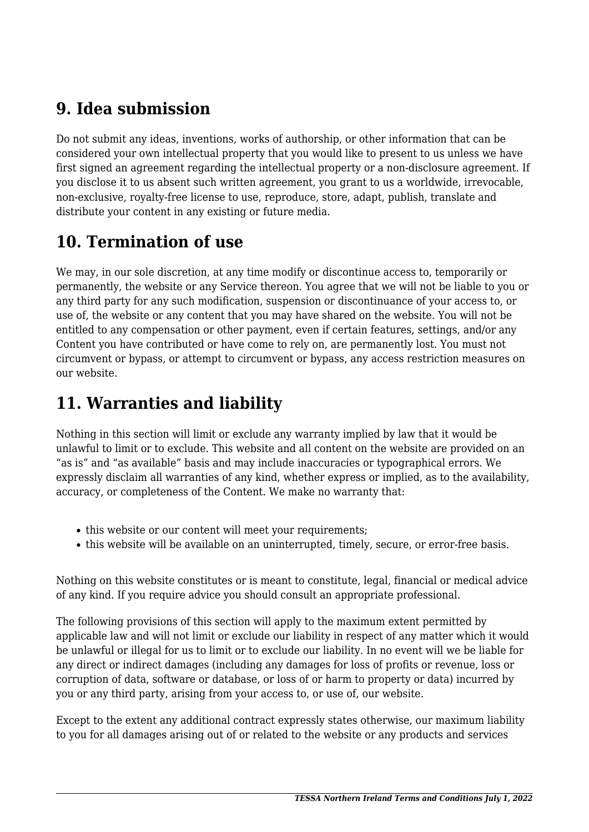#### **9. Idea submission**

Do not submit any ideas, inventions, works of authorship, or other information that can be considered your own intellectual property that you would like to present to us unless we have first signed an agreement regarding the intellectual property or a non-disclosure agreement. If you disclose it to us absent such written agreement, you grant to us a worldwide, irrevocable, non-exclusive, royalty-free license to use, reproduce, store, adapt, publish, translate and distribute your content in any existing or future media.

### **10. Termination of use**

We may, in our sole discretion, at any time modify or discontinue access to, temporarily or permanently, the website or any Service thereon. You agree that we will not be liable to you or any third party for any such modification, suspension or discontinuance of your access to, or use of, the website or any content that you may have shared on the website. You will not be entitled to any compensation or other payment, even if certain features, settings, and/or any Content you have contributed or have come to rely on, are permanently lost. You must not circumvent or bypass, or attempt to circumvent or bypass, any access restriction measures on our website.

### **11. Warranties and liability**

Nothing in this section will limit or exclude any warranty implied by law that it would be unlawful to limit or to exclude. This website and all content on the website are provided on an "as is" and "as available" basis and may include inaccuracies or typographical errors. We expressly disclaim all warranties of any kind, whether express or implied, as to the availability, accuracy, or completeness of the Content. We make no warranty that:

- this website or our content will meet your requirements;
- this website will be available on an uninterrupted, timely, secure, or error-free basis.

Nothing on this website constitutes or is meant to constitute, legal, financial or medical advice of any kind. If you require advice you should consult an appropriate professional.

The following provisions of this section will apply to the maximum extent permitted by applicable law and will not limit or exclude our liability in respect of any matter which it would be unlawful or illegal for us to limit or to exclude our liability. In no event will we be liable for any direct or indirect damages (including any damages for loss of profits or revenue, loss or corruption of data, software or database, or loss of or harm to property or data) incurred by you or any third party, arising from your access to, or use of, our website.

Except to the extent any additional contract expressly states otherwise, our maximum liability to you for all damages arising out of or related to the website or any products and services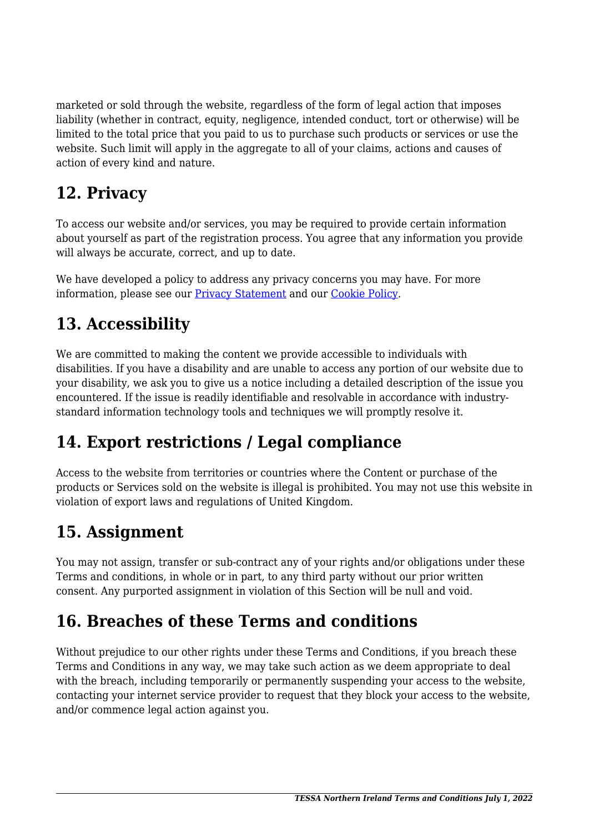marketed or sold through the website, regardless of the form of legal action that imposes liability (whether in contract, equity, negligence, intended conduct, tort or otherwise) will be limited to the total price that you paid to us to purchase such products or services or use the website. Such limit will apply in the aggregate to all of your claims, actions and causes of action of every kind and nature.

### **12. Privacy**

To access our website and/or services, you may be required to provide certain information about yourself as part of the registration process. You agree that any information you provide will always be accurate, correct, and up to date.

We have developed a policy to address any privacy concerns you may have. For more information, please see our Privacy Statement and our [Cookie Policy](https://tessani.org/cookie-policy-uk/).

### **13. Accessibility**

We are committed to making the content we provide accessible to individuals with disabilities. If you have a disability and are unable to access any portion of our website due to your disability, we ask you to give us a notice including a detailed description of the issue you encountered. If the issue is readily identifiable and resolvable in accordance with industrystandard information technology tools and techniques we will promptly resolve it.

### **14. Export restrictions / Legal compliance**

Access to the website from territories or countries where the Content or purchase of the products or Services sold on the website is illegal is prohibited. You may not use this website in violation of export laws and regulations of United Kingdom.

### **15. Assignment**

You may not assign, transfer or sub-contract any of your rights and/or obligations under these Terms and conditions, in whole or in part, to any third party without our prior written consent. Any purported assignment in violation of this Section will be null and void.

#### **16. Breaches of these Terms and conditions**

Without prejudice to our other rights under these Terms and Conditions, if you breach these Terms and Conditions in any way, we may take such action as we deem appropriate to deal with the breach, including temporarily or permanently suspending your access to the website, contacting your internet service provider to request that they block your access to the website, and/or commence legal action against you.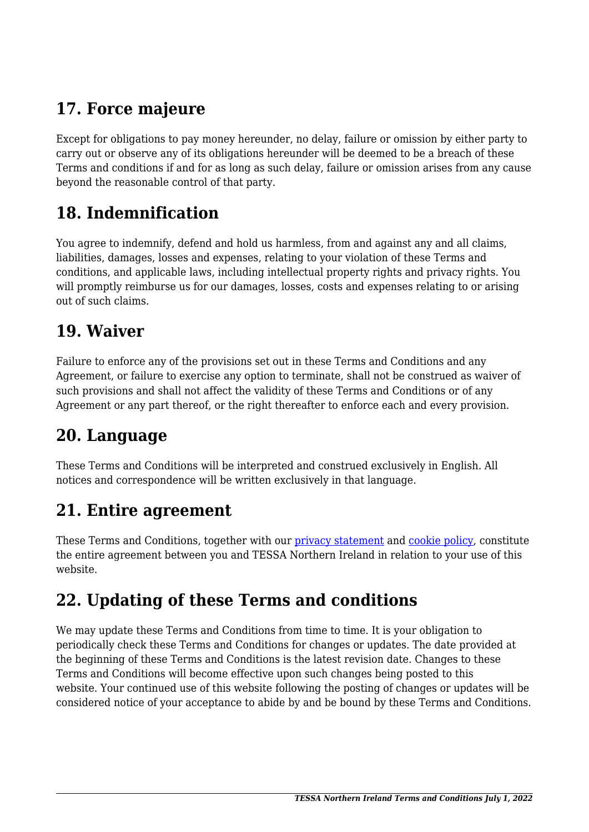## **17. Force majeure**

Except for obligations to pay money hereunder, no delay, failure or omission by either party to carry out or observe any of its obligations hereunder will be deemed to be a breach of these Terms and conditions if and for as long as such delay, failure or omission arises from any cause beyond the reasonable control of that party.

#### **18. Indemnification**

You agree to indemnify, defend and hold us harmless, from and against any and all claims, liabilities, damages, losses and expenses, relating to your violation of these Terms and conditions, and applicable laws, including intellectual property rights and privacy rights. You will promptly reimburse us for our damages, losses, costs and expenses relating to or arising out of such claims.

#### **19. Waiver**

Failure to enforce any of the provisions set out in these Terms and Conditions and any Agreement, or failure to exercise any option to terminate, shall not be construed as waiver of such provisions and shall not affect the validity of these Terms and Conditions or of any Agreement or any part thereof, or the right thereafter to enforce each and every provision.

#### **20. Language**

These Terms and Conditions will be interpreted and construed exclusively in English. All notices and correspondence will be written exclusively in that language.

#### **21. Entire agreement**

These Terms and Conditions, together with our privacy statement and [cookie policy,](https://tessani.org/cookie-policy-uk/) constitute the entire agreement between you and TESSA Northern Ireland in relation to your use of this website.

#### **22. Updating of these Terms and conditions**

We may update these Terms and Conditions from time to time. It is your obligation to periodically check these Terms and Conditions for changes or updates. The date provided at the beginning of these Terms and Conditions is the latest revision date. Changes to these Terms and Conditions will become effective upon such changes being posted to this website. Your continued use of this website following the posting of changes or updates will be considered notice of your acceptance to abide by and be bound by these Terms and Conditions.